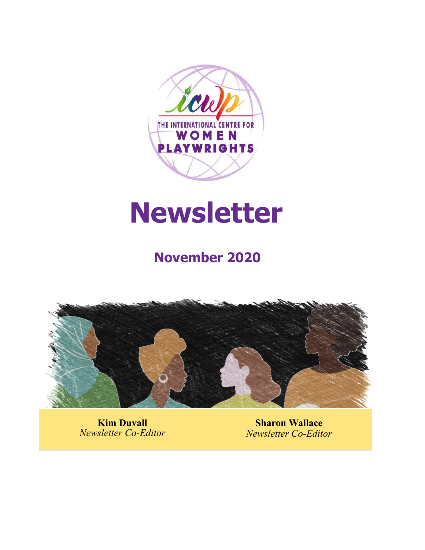

# **Newsletter**

# **November 2020**



**Kim Duvall** *Newsletter Co-Editor*

**Sharon Wallace** *Newsletter Co-Editor*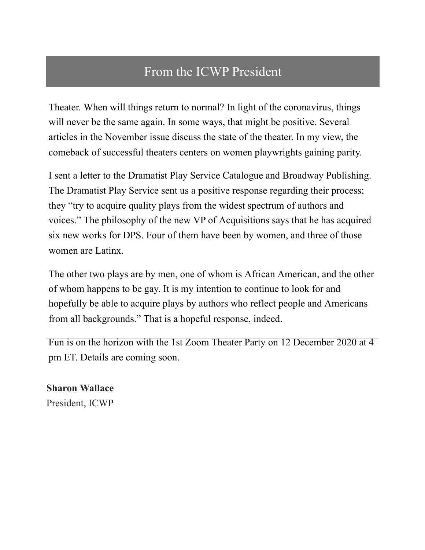## From the ICWP President

Theater. When will things return to normal? In light of the coronavirus, things will never be the same again. In some ways, that might be positive. Several articles in the November issue discuss the state of the theater. In my view, the comeback of successful theaters centers on women playwrights gaining parity.

I sent a letter to the Dramatist Play Service Catalogue and Broadway Publishing. The Dramatist Play Service sent us a positive response regarding their process; they "try to acquire quality plays from the widest spectrum of authors and voices." The philosophy of the new VP of Acquisitions says that he has acquired six new works for DPS. Four of them have been by women, and three of those women are Latinx.

The other two plays are by men, one of whom is African American, and the other of whom happens to be gay. It is my intention to continue to look for and hopefully be able to acquire plays by authors who reflect people and Americans from all backgrounds." That is a hopeful response, indeed.

Fun is on the horizon with the 1st Zoom Theater Party on 12 December 2020 at 4 pm ET. Details are coming soon.

**Sharon Wallace** President, ICWP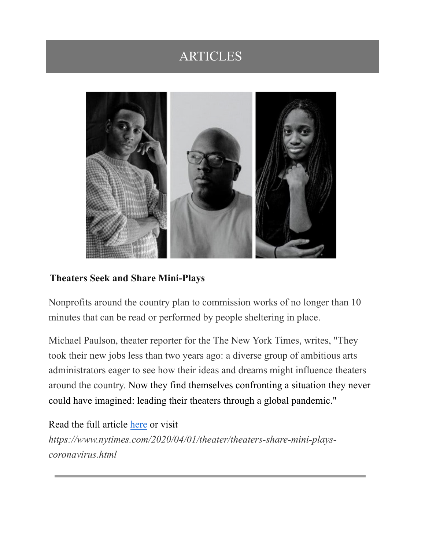## ARTICLES



#### **Theaters Seek and Share Mini-Plays**

Nonprofits around the country plan to commission works of no longer than 10 minutes that can be read or performed by people sheltering in place.

Michael Paulson, theater reporter for the The New York Times, writes, "They took their new jobs less than two years ago: a diverse group of ambitious arts administrators eager to see how their ideas and dreams might influence theaters around the country. Now they find themselves confronting a situation they never could have imagined: leading their theaters through a global pandemic."

Read the full article [here](https://www.nytimes.com/2020/04/01/theater/theaters-share-mini-plays-coronavirus.html) or visit *https://www.nytimes.com/2020/04/01/theater/theaters-share-mini-playscoronavirus.html*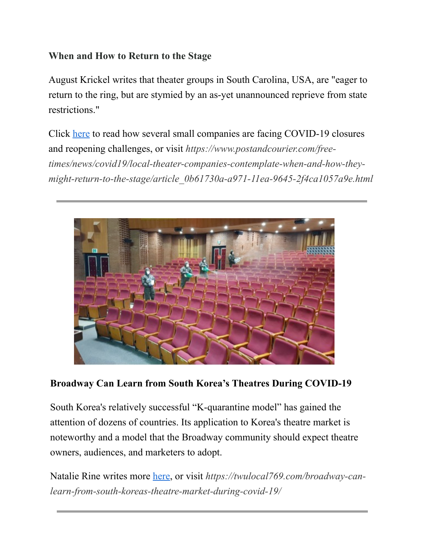#### **When and How to Return to the Stage**

August Krickel writes that theater groups in South Carolina, USA, are "eager to return to the ring, but are stymied by an as-yet unannounced reprieve from state restrictions."

Click [here](https://www.postandcourier.com/free-times/news/covid19/local-theater-companies-contemplate-when-and-how-they-might-return-to-the-stage/article_0b61730a-a971-11ea-9645-2f4ca1057a9e.html) to read how several small companies are facing COVID-19 closures and reopening challenges, or visit *https://www.postandcourier.com/freetimes/news/covid19/local-theater-companies-contemplate-when-and-how-theymight-return-to-the-stage/article\_0b61730a-a971-11ea-9645-2f4ca1057a9e.html*



#### **Broadway Can Learn from South Korea's Theatres During COVID-19**

South Korea's relatively successful "K-quarantine model" has gained the attention of dozens of countries. Its application to Korea's theatre market is noteworthy and a model that the Broadway community should expect theatre owners, audiences, and marketers to adopt.

Natalie Rine writes more [here](https://twulocal769.com/broadway-can-learn-from-south-koreas-theatre-market-during-covid-19), or visit *https://twulocal769.com/broadway-canlearn-from-south-koreas-theatre-market-during-covid-19/*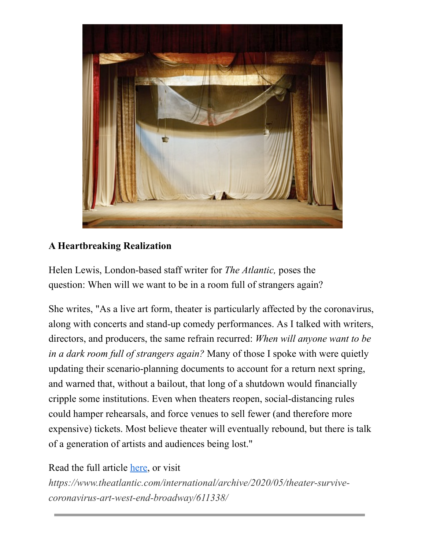

#### **A Heartbreaking Realization**

Helen Lewis, London-based staff writer for *The Atlantic,* poses the question: When will we want to be in a room full of strangers again?

She writes, "As a live art form, theater is particularly affected by the coronavirus, along with concerts and stand-up comedy performances. As I talked with writers, directors, and producers, the same refrain recurred: *When will anyone want to be in a dark room full of strangers again?* Many of those I spoke with were quietly updating their scenario-planning documents to account for a return next spring, and warned that, without a bailout, that long of a shutdown would financially cripple some institutions. Even when theaters reopen, social-distancing rules could hamper rehearsals, and force venues to sell fewer (and therefore more expensive) tickets. Most believe theater will eventually rebound, but there is talk of a generation of artists and audiences being lost."

#### Read the full article [here](https://www.theatlantic.com/international/archive/2020/05/theater-survive-coronavirus-art-west-end-broadway/611338), or visit

*https://www.theatlantic.com/international/archive/2020/05/theater-survivecoronavirus-art-west-end-broadway/611338/*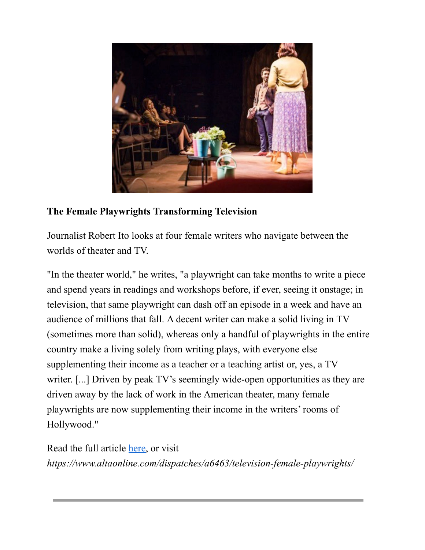

#### **The Female Playwrights Transforming Television**

Journalist Robert Ito looks at four female writers who navigate between the worlds of theater and TV.

"In the theater world," he writes, "a playwright can take months to write a piece and spend years in readings and workshops before, if ever, seeing it onstage; in television, that same playwright can dash off an episode in a week and have an audience of millions that fall. A decent writer can make a solid living in TV (sometimes more than solid), whereas only a handful of playwrights in the entire country make a living solely from writing plays, with everyone else supplementing their income as a teacher or a teaching artist or, yes, a TV writer. [...] Driven by peak TV's seemingly wide-open opportunities as they are driven away by the lack of work in the American theater, many female playwrights are now supplementing their income in the writers' rooms of Hollywood."

Read the full article [here,](https://www.altaonline.com/dispatches/a6463/television-female-playwrights) or visit *https://www.altaonline.com/dispatches/a6463/television-female-playwrights/*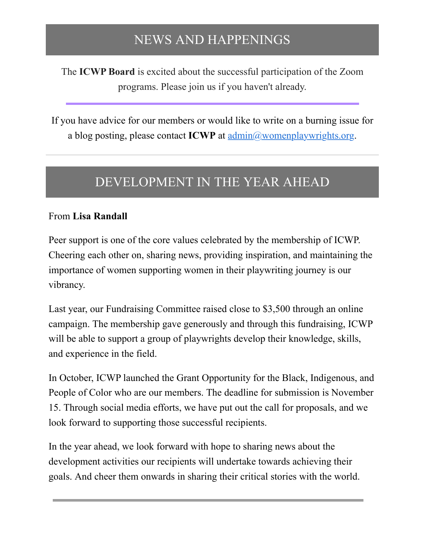## NEWS AND HAPPENINGS

The **ICWP Board** is excited about the successful participation of the Zoom programs. Please join us if you haven't already.

If you have advice for our members or would like to write on a burning issue for a blog posting, please contact ICWP at [admin@womenplaywrights.org](mailto:admin@womenplaywrights.org).

## DEVELOPMENT IN THE YEAR AHEAD

#### From **Lisa Randall**

Peer support is one of the core values celebrated by the membership of ICWP. Cheering each other on, sharing news, providing inspiration, and maintaining the importance of women supporting women in their playwriting journey is our vibrancy.

Last year, our Fundraising Committee raised close to \$3,500 through an online campaign. The membership gave generously and through this fundraising, ICWP will be able to support a group of playwrights develop their knowledge, skills, and experience in the field.

In October, ICWP launched the Grant Opportunity for the Black, Indigenous, and People of Color who are our members. The deadline for submission is November 15. Through social media efforts, we have put out the call for proposals, and we look forward to supporting those successful recipients.

In the year ahead, we look forward with hope to sharing news about the development activities our recipients will undertake towards achieving their goals. And cheer them onwards in sharing their critical stories with the world.